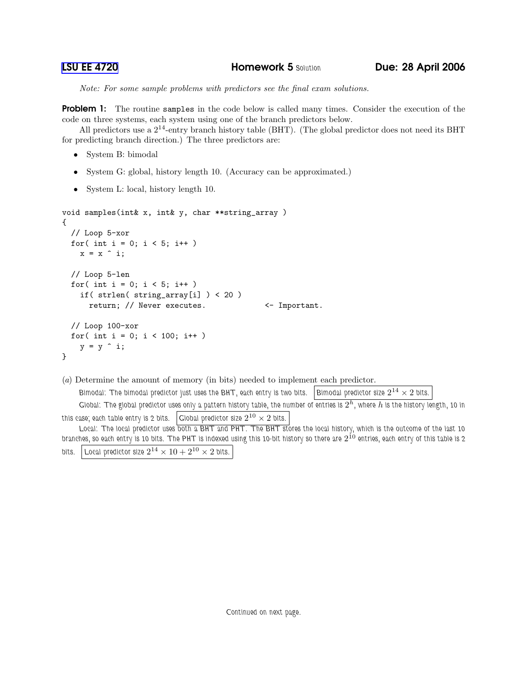Note: For some sample problems with predictors see the final exam solutions.

**Problem 1:** The routine samples in the code below is called many times. Consider the execution of the code on three systems, each system using one of the branch predictors below.

All predictors use a  $2^{14}$ -entry branch history table (BHT). (The global predictor does not need its BHT for predicting branch direction.) The three predictors are:

- System B: bimodal
- System G: global, history length 10. (Accuracy can be approximated.)
- System L: local, history length 10.

```
void samples(int& x, int& y, char **string_array )
{
  // Loop 5-xor
  for( int i = 0; i < 5; i^{++})
    x = x \hat{i};
  // Loop 5-len
  for( int i = 0; i < 5; i++)if( strlen( string_array[i] ) < 20 )
      return; // Never executes. \leftarrow Important.
  // Loop 100-xor
  for( int i = 0; i < 100; i++)y = y \hat{i};
}
```

```
(a) Determine the amount of memory (in bits) needed to implement each predictor.
      Bimodal: The bimodal predictor just uses the BHT, each entry is two bits. \, Bimodal predictor size 2^{14}\times 2 bits.
      Global: The global predictor uses only a pattern history table, the number of entries is 2^h, where h is the history length, 10 in
this case; each table entry is 2 bits. \Big| Global predictor size 2^{10}\times 2 bits.
     Local: The local predictor uses both a BHT and PHT. The BHT stores the local history, which is the outcome of the last 10
branches, so each entry is 10 bits. The PHT is indexed using this 10-bit history so there are 2^{\dot {10}} entries, each entry of this table is 2
```

```
bits. Local predictor size 2^{14} \times 10 + 2^{10} \times 2 bits.
```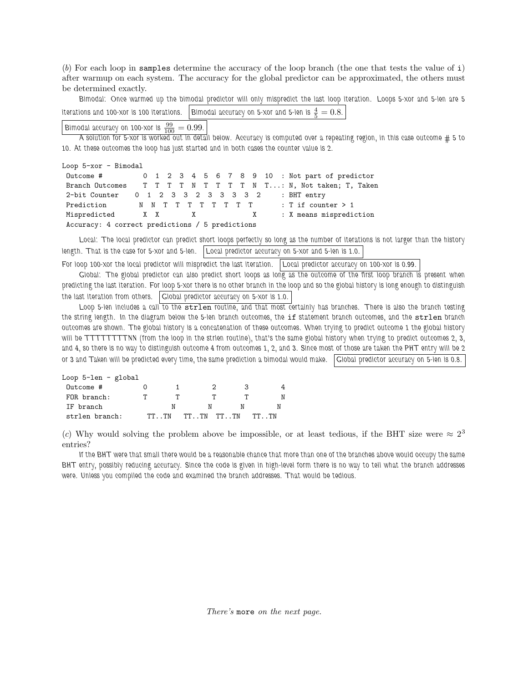(b) For each loop in samples determine the accuracy of the loop branch (the one that tests the value of i) after warmup on each system. The accuracy for the global predictor can be approximated, the others must be determined exactly.

Bimodal: Once warmed up the bimodal predictor will only mispredict the last loop iteration. Loops 5-xor and 5-len are 5 iterations and 100-xor is 100 iterations.  $\Big\vert$  Bimodal accuracy on 5-xor and 5-len is  $\frac{4}{5}=0.8.$ 

Bimodal accuracy on 100-xor is  $\frac{99}{100} = 0.99$ .

A solution for 5-xor is worked out in detail below. Accuracy is computed over a repeating region, in this case outcome # 5 to 10. At these outcomes the loop has just started and in both cases the counter value is 2.

Loop 5-xor - Bimodal Outcome # 0 1 2 3 4 5 6 7 8 9 10 : Not part of predictor Branch Outcomes T T T T N T T T N T ...: N, Not taken; T, Taken 2-bit Counter 0 1 2 3 3 2 3 3 3 3 2 : BHT entry Prediction MNTTTTTTTT : Tif counter > 1 Mispredicted X X X X : X means misprediction Accuracy: 4 correct predictions / 5 predictions

Local: The local predictor can predict short loops perfectly so long as the number of iterations is not larger than the history length. That is the case for 5-xor and 5-len. | Local predictor accuracy on 5-xor and 5-len is 1.0.

For loop 100-xor the local predictor will mispredict the last iteration. Local predictor accuracy on 100-xor is 0.99.

Global: The global predictor can also predict short loops as long as the outcome of the first loop branch is present when predicting the last iteration. For loop 5-xor there is no other branch in the loop and so the global history is long enough to distinguish the last iteration from others. Global predictor accuracy on 5-xor is 1.0.

Loop 5-len includes a call to the strlen routine, and that most certainly has branches. There is also the branch testing the string length. In the diagram below the 5-len branch outcomes, the if statement branch outcomes, and the strlen branch outcomes are shown. The global history is a concatenation of these outcomes. When trying to predict outcome 1 the global history will be TTTTTTTTNN (from the loop in the strlen routine), that's the same global history when trying to predict outcomes 2, 3, and 4, so there is no way to distinguish outcome 4 from outcomes 1, 2, and 3. Since most of those are taken the PHT entry will be 2 or 3 and Taken will be predicted every time, the same prediction a bimodal would make. Global predictor accuracy on 5-len is 0.8.

| Loop $5$ -len - global |   |       |             |   |       |
|------------------------|---|-------|-------------|---|-------|
| $Qutcone$ #            |   |       | 2           | ર |       |
| FOR branch:            | т |       |             |   | N     |
| IF branch              |   |       |             | N |       |
| strlen branch:         |   | TT TN | TT TN TT TN |   | TT TN |

(c) Why would solving the problem above be impossible, or at least tedious, if the BHT size were  $\approx 2^3$ entries?

If the BHT were that small there would be a reasonable chance that more than one of the branches above would occupy the same BHT entry, possibly reducing accuracy. Since the code is given in high-level form there is no way to tell what the branch addresses were. Unless you compiled the code and examined the branch addresses. That would be tedious.